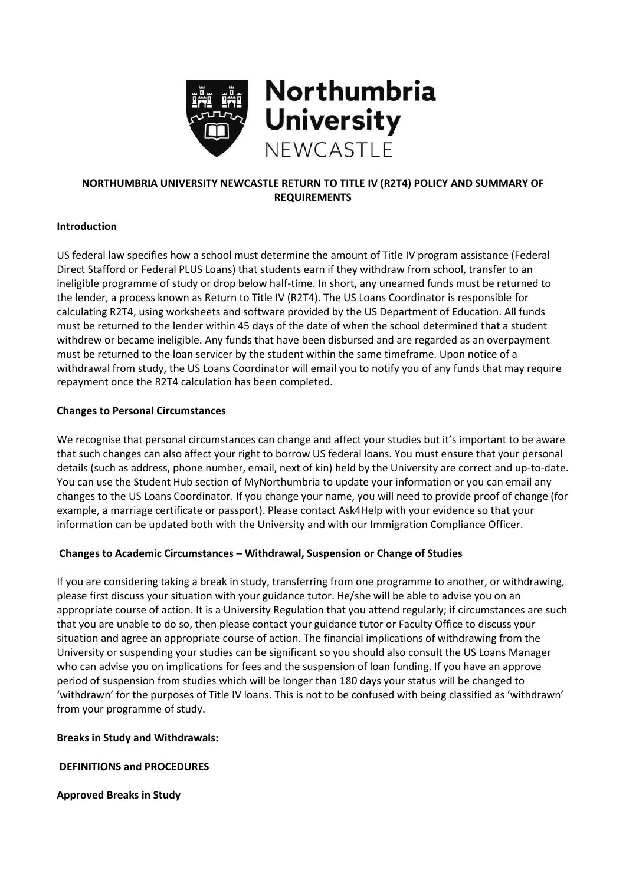

# **NORTHUMBRIA UNIVERSITY NEWCASTLE RETURN TO TITLE IV (R2T4) POLICY AND SUMMARY OF REQUIREMENTS**

## **Introduction**

US federal law specifies how a school must determine the amount of Title IV program assistance (Federal Direct Stafford or Federal PLUS Loans) that students earn if they withdraw from school, transfer to an ineligible programme of study or drop below half-time. In short, any unearned funds must be returned to the lender, a process known as Return to Title IV (R2T4). The US Loans Coordinator is responsible for calculating R2T4, using worksheets and software provided by the US Department of Education. All funds must be returned to the lender within 45 days of the date of when the school determined that a student withdrew or became ineligible. Any funds that have been disbursed and are regarded as an overpayment must be returned to the loan servicer by the student within the same timeframe. Upon notice of a withdrawal from study, the US Loans Coordinator will email you to notify you of any funds that may require repayment once the R2T4 calculation has been completed.

## **Changes to Personal Circumstances**

We recognise that personal circumstances can change and affect your studies but it's important to be aware that such changes can also affect your right to borrow US federal loans. You must ensure that your personal details (such as address, phone number, email, next of kin) held by the University are correct and up-to-date. You can use the Student Hub section of MyNorthumbria to update your information or you can email any changes to the US Loans Coordinator. If you change your name, you will need to provide proof of change (for example, a marriage certificate or passport). Please contact Ask4Help with your evidence so that your information can be updated both with the University and with our Immigration Compliance Officer.

# **Changes to Academic Circumstances – Withdrawal, Suspension or Change of Studies**

If you are considering taking a break in study, transferring from one programme to another, or withdrawing, please first discuss your situation with your guidance tutor. He/she will be able to advise you on an appropriate course of action. It is a University Regulation that you attend regularly; if circumstances are such that you are unable to do so, then please contact your guidance tutor or Faculty Office to discuss your situation and agree an appropriate course of action. The financial implications of withdrawing from the University or suspending your studies can be significant so you should also consult the US Loans Manager who can advise you on implications for fees and the suspension of loan funding. If you have an approve period of suspension from studies which will be longer than 180 days your status will be changed to 'withdrawn' for the purposes of Title IV loans. This is not to be confused with being classified as 'withdrawn' from your programme of study.

### **Breaks in Study and Withdrawals:**

# **DEFINITIONS and PROCEDURES**

### **Approved Breaks in Study**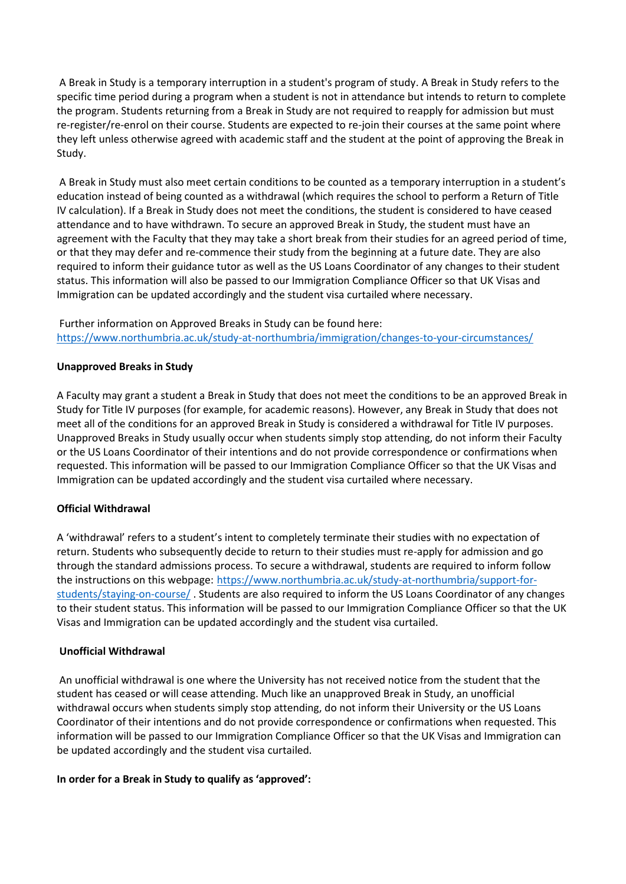A Break in Study is a temporary interruption in a student's program of study. A Break in Study refers to the specific time period during a program when a student is not in attendance but intends to return to complete the program. Students returning from a Break in Study are not required to reapply for admission but must re-register/re-enrol on their course. Students are expected to re-join their courses at the same point where they left unless otherwise agreed with academic staff and the student at the point of approving the Break in Study.

A Break in Study must also meet certain conditions to be counted as a temporary interruption in a student's education instead of being counted as a withdrawal (which requires the school to perform a Return of Title IV calculation). If a Break in Study does not meet the conditions, the student is considered to have ceased attendance and to have withdrawn. To secure an approved Break in Study, the student must have an agreement with the Faculty that they may take a short break from their studies for an agreed period of time, or that they may defer and re-commence their study from the beginning at a future date. They are also required to inform their guidance tutor as well as the US Loans Coordinator of any changes to their student status. This information will also be passed to our Immigration Compliance Officer so that UK Visas and Immigration can be updated accordingly and the student visa curtailed where necessary.

Further information on Approved Breaks in Study can be found here: <https://www.northumbria.ac.uk/study-at-northumbria/immigration/changes-to-your-circumstances/>

### **Unapproved Breaks in Study**

A Faculty may grant a student a Break in Study that does not meet the conditions to be an approved Break in Study for Title IV purposes (for example, for academic reasons). However, any Break in Study that does not meet all of the conditions for an approved Break in Study is considered a withdrawal for Title IV purposes. Unapproved Breaks in Study usually occur when students simply stop attending, do not inform their Faculty or the US Loans Coordinator of their intentions and do not provide correspondence or confirmations when requested. This information will be passed to our Immigration Compliance Officer so that the UK Visas and Immigration can be updated accordingly and the student visa curtailed where necessary.

#### **Official Withdrawal**

A 'withdrawal' refers to a student's intent to completely terminate their studies with no expectation of return. Students who subsequently decide to return to their studies must re-apply for admission and go through the standard admissions process. To secure a withdrawal, students are required to inform follow the instructions on this webpage: [https://www.northumbria.ac.uk/study-at-northumbria/support-for](https://www.northumbria.ac.uk/study-at-northumbria/support-for-students/staying-on-course/)[students/staying-on-course/](https://www.northumbria.ac.uk/study-at-northumbria/support-for-students/staying-on-course/) . Students are also required to inform the US Loans Coordinator of any changes to their student status. This information will be passed to our Immigration Compliance Officer so that the UK Visas and Immigration can be updated accordingly and the student visa curtailed.

#### **Unofficial Withdrawal**

An unofficial withdrawal is one where the University has not received notice from the student that the student has ceased or will cease attending. Much like an unapproved Break in Study, an unofficial withdrawal occurs when students simply stop attending, do not inform their University or the US Loans Coordinator of their intentions and do not provide correspondence or confirmations when requested. This information will be passed to our Immigration Compliance Officer so that the UK Visas and Immigration can be updated accordingly and the student visa curtailed.

#### **In order for a Break in Study to qualify as 'approved':**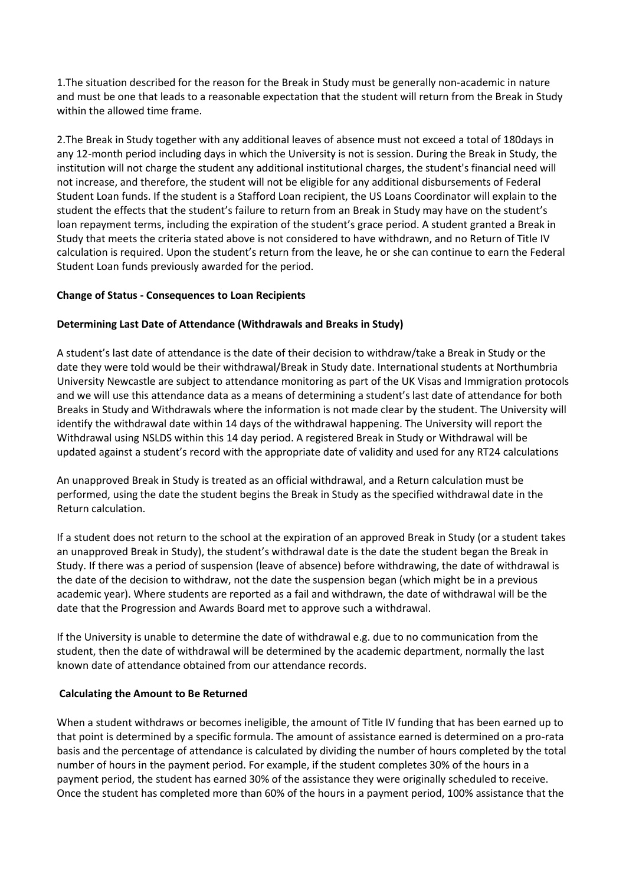1.The situation described for the reason for the Break in Study must be generally non-academic in nature and must be one that leads to a reasonable expectation that the student will return from the Break in Study within the allowed time frame.

2.The Break in Study together with any additional leaves of absence must not exceed a total of 180days in any 12-month period including days in which the University is not is session. During the Break in Study, the institution will not charge the student any additional institutional charges, the student's financial need will not increase, and therefore, the student will not be eligible for any additional disbursements of Federal Student Loan funds. If the student is a Stafford Loan recipient, the US Loans Coordinator will explain to the student the effects that the student's failure to return from an Break in Study may have on the student's loan repayment terms, including the expiration of the student's grace period. A student granted a Break in Study that meets the criteria stated above is not considered to have withdrawn, and no Return of Title IV calculation is required. Upon the student's return from the leave, he or she can continue to earn the Federal Student Loan funds previously awarded for the period.

## **Change of Status - Consequences to Loan Recipients**

## **Determining Last Date of Attendance (Withdrawals and Breaks in Study)**

A student's last date of attendance is the date of their decision to withdraw/take a Break in Study or the date they were told would be their withdrawal/Break in Study date. International students at Northumbria University Newcastle are subject to attendance monitoring as part of the UK Visas and Immigration protocols and we will use this attendance data as a means of determining a student's last date of attendance for both Breaks in Study and Withdrawals where the information is not made clear by the student. The University will identify the withdrawal date within 14 days of the withdrawal happening. The University will report the Withdrawal using NSLDS within this 14 day period. A registered Break in Study or Withdrawal will be updated against a student's record with the appropriate date of validity and used for any RT24 calculations

An unapproved Break in Study is treated as an official withdrawal, and a Return calculation must be performed, using the date the student begins the Break in Study as the specified withdrawal date in the Return calculation.

If a student does not return to the school at the expiration of an approved Break in Study (or a student takes an unapproved Break in Study), the student's withdrawal date is the date the student began the Break in Study. If there was a period of suspension (leave of absence) before withdrawing, the date of withdrawal is the date of the decision to withdraw, not the date the suspension began (which might be in a previous academic year). Where students are reported as a fail and withdrawn, the date of withdrawal will be the date that the Progression and Awards Board met to approve such a withdrawal.

If the University is unable to determine the date of withdrawal e.g. due to no communication from the student, then the date of withdrawal will be determined by the academic department, normally the last known date of attendance obtained from our attendance records.

### **Calculating the Amount to Be Returned**

When a student withdraws or becomes ineligible, the amount of Title IV funding that has been earned up to that point is determined by a specific formula. The amount of assistance earned is determined on a pro-rata basis and the percentage of attendance is calculated by dividing the number of hours completed by the total number of hours in the payment period. For example, if the student completes 30% of the hours in a payment period, the student has earned 30% of the assistance they were originally scheduled to receive. Once the student has completed more than 60% of the hours in a payment period, 100% assistance that the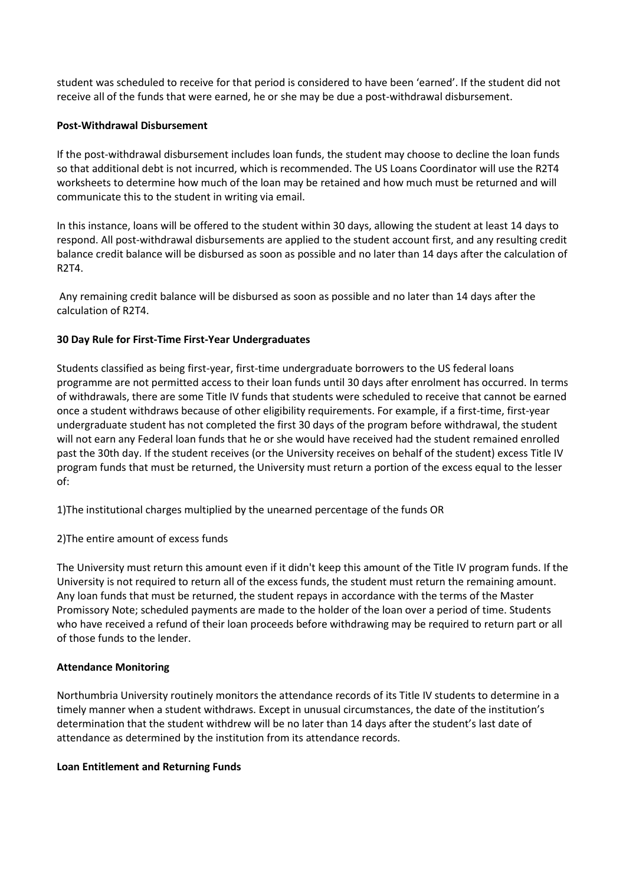student was scheduled to receive for that period is considered to have been 'earned'. If the student did not receive all of the funds that were earned, he or she may be due a post-withdrawal disbursement.

## **Post-Withdrawal Disbursement**

If the post-withdrawal disbursement includes loan funds, the student may choose to decline the loan funds so that additional debt is not incurred, which is recommended. The US Loans Coordinator will use the R2T4 worksheets to determine how much of the loan may be retained and how much must be returned and will communicate this to the student in writing via email.

In this instance, loans will be offered to the student within 30 days, allowing the student at least 14 days to respond. All post-withdrawal disbursements are applied to the student account first, and any resulting credit balance credit balance will be disbursed as soon as possible and no later than 14 days after the calculation of R2T4.

Any remaining credit balance will be disbursed as soon as possible and no later than 14 days after the calculation of R2T4.

## **30 Day Rule for First-Time First-Year Undergraduates**

Students classified as being first-year, first-time undergraduate borrowers to the US federal loans programme are not permitted access to their loan funds until 30 days after enrolment has occurred. In terms of withdrawals, there are some Title IV funds that students were scheduled to receive that cannot be earned once a student withdraws because of other eligibility requirements. For example, if a first-time, first-year undergraduate student has not completed the first 30 days of the program before withdrawal, the student will not earn any Federal loan funds that he or she would have received had the student remained enrolled past the 30th day. If the student receives (or the University receives on behalf of the student) excess Title IV program funds that must be returned, the University must return a portion of the excess equal to the lesser of:

1)The institutional charges multiplied by the unearned percentage of the funds OR

2)The entire amount of excess funds

The University must return this amount even if it didn't keep this amount of the Title IV program funds. If the University is not required to return all of the excess funds, the student must return the remaining amount. Any loan funds that must be returned, the student repays in accordance with the terms of the Master Promissory Note; scheduled payments are made to the holder of the loan over a period of time. Students who have received a refund of their loan proceeds before withdrawing may be required to return part or all of those funds to the lender.

### **Attendance Monitoring**

Northumbria University routinely monitors the attendance records of its Title IV students to determine in a timely manner when a student withdraws. Except in unusual circumstances, the date of the institution's determination that the student withdrew will be no later than 14 days after the student's last date of attendance as determined by the institution from its attendance records.

### **Loan Entitlement and Returning Funds**